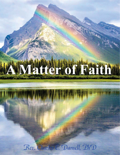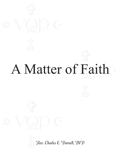# r of Faith A Matter of Faith

Rev. Charles E. Darnell, PhD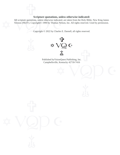#### **Scripture quotations, unless otherwise indicated:**

Scripture quotations, unless otherwise indicated,<br>Version (NKJV). Copyright© 1990 by Thomas Nels<br>Copyright © 2022 by Charles F All scripture quotations, unless otherwise indicated, are taken from the Holy Bible, New King James Version (NKJV). Copyright© 1990 by Thomas Nelson, Inc. All rights reserved. Used by permission.

Copyright © 2022 by Charles E. Darnell, all rights reserved.



 $\ast$  VQD  $\epsilon$  Published byVisionQuest Publishing, Inc. Campbellsville, Kentucky 42718-7416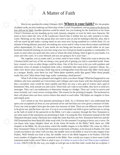## A Matter of Faith

ng, to m<br>up and<br>ng tolera<br>nents. It<br>ad of wo Here is my question for today, February 2022<br>of planet earth, are now entering our third year of thi<br>fear and not by faith. Another question could be ask<br>Christ? Christians are not standing up for truth, hon fear and not by faith. Another question could be asked: Are you looking for the Antichrist or for Jesus e you would<br>ds to produc<br>Once it gets<br>ir way!<br>Those who Here is my question for today, February 2022: **Where is your faith?** We, the peoples of planet earth, are now entering our third year of this Covid-19 pandemic and we seem to be driven by Christ? Christians are not standing up for truth, honesty, integrity or even for their own character. We seem to have taken the view of the Laodicean Church that is neither hot nor cold, instead it is lukewarm. Meaning, to me, that this group does not want to just sit and do nothing (cold) but, also, that it will not stand up and make a strong stand on any issue now facing mankind as a whole (hot). It's an attitude of being tolerant, peaceful, not making any waves and it's okay to tear-down statues and defund police departments. It's okay if your needs are not being met because you would rather sit on your backside instead of working on your feet using your two God given hands to produce a commodity. It's easier to steal what you need and who cares to whom the items belong. Once it gets in your hands, it is yours and who cares. It is your lifestyle and you are going to do it your way!

Example 3 done. One of the first was to hit you with numbers and<br>with a ventilator tube stuck down a person's throat. An-<br>ut to a refrigeration truck because they didn't have space<br>fere those numbers really that great? Wer We, together, you as reader and I, as writer, need to face reality. Those who want to destroy the Christian belief and way of life are doing a very good job of getting you into a controlled mold. Some have created a crisis so other things could be done. One of the first was to hit you with numbers and television views of people in hospitals beds with a ventilator tube stuck down a person's throat. Another view shows men carrying a body bag out to a refrigeration truck because they didn't have space at a morgue. Really, were these for real? Were those numbers really that great? Were those people really that sick? Were those body bags really containing a dead person?

god of<br>h other,<br>hey can<br>ng is sim<br>ne letter that a socialistic state would be more equible and there are now a new god of science and a god of What if all of that was planned and staged to show you those things? What has happened to our children who have attended our Universities and Colleges and come home with this distorted attitude humanism! Hey, look around you and watch. These kids can't talk to each other, they have to send text messages. They can't use mathmatics to determine change or a budget. They can't write in cursive and most certainly can't read cursive writing either. The reason for the printing is simple. The keyboard on their cell phone does not have cursive letters that attach to each other. The letters are singular in form and simple print.

would<br>of chapt<br>e in this<br>() Oh! B Psalms. Well! Would you look at that, the middle verse in the Bible happens to be Psalms 118:8 the see what some of the statements are pertaining to fait<br>Testament because many Christians now make the clase<br>Old Testament has been basically done away with. For<br>you know how many chapters there are in the entire<br>chapters i chapters in the Bible. So, do you know where the middle chapter is in the Bible? Oh, come on, Old or rint.<br>return to my<br>ceptance of<br>ho accepts C<br>ut, just the b.<br>f some of the Let's return to my first question pertaining to faith. As a Christian don't you understand that upon your acceptance of Jesus as your personal savior and lord that you were given a measure of faith. Every one who accepts Christ gets the same size measure of faith. There are not different sizes of faith to be given out, just the basic one size. It is up to us to stimulate our faith to grow and become as strong as the faith of some of the patriarchs in the Bible. Let's take a journey through the New Testament to see what some of the statements are pertaining to faith. I'm using the New Testament instead of the Old Testament because many Christians now make the claim that they are New Testament believers and the Old Testament has been basically done away with. For the moment I'm going to throw you a curve. Do you know how many chapters there are in the entire 66 books of the Bible? Well, there are 1188 New Testament? Okay, it's in the Old Testament in the book of Psalms, to be factual in Psalms 118. And would you believe me when I tell you that, the middle verse in the Bible is verse 8 in this chapter from exact number of chapters that are contained in the Bible. Now would you expect to have some Godly statement made in this verse? Here is what it says: *It is better to trust in the Lord Than to put confidence in man.* (NKJV) Oh! By the way, you might as well get use to the blue italic words that are scripture. I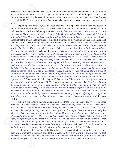r all the Bible<br>ice that the use this style for all the Bible verses I use in any of my work. To show you that there really is structure in the Bible notice that the shortest chapter in the Bible is Psalms 117and the longest chapter in the Bible is Psalms 119. For the sake of completion what is the shortest verse in the Bible? The shortest verse is John 11:35, Jesus wept. Now, let's return to what we were discussing and look at some terms of faith.

appears that the greater statements concerning faith are made by the Apostles between Romans and 1st<br>John. Paul writes the following in the book of Romans: Romans 1:16-17, <sup>16</sup>For I am not ashamed of the<br>gospel of Christ, little faith?" Then He arose and rebuked the winds and the sea, and there was a great calm. It really Figure 18 Faans 119. For the sake of completion what is the shortest verse in the Bible? The shortest<br>verse is John 11:35, Jesus wept. Now, let's return to what we were discussing and look at some terms of<br>faith.<br>Beginning about having little faith. Peter was one of those chastised when he walked on the water and began to the grace given to me, to everyone who is among you, not to think of himself more highly than he ought<br>to think, but to think soberly, as God has dealt to each one a measure of faith. <sup>4</sup>For as we have many<br>members in one ccording to what was spoken, "So shall your descen-<br>ot consider his own body, already dead (since he was<br>f Sarah's womb. <sup>20</sup>He did not waver at the promise of<br>aith, giving glory to God, <sup>21</sup>and being fully convinced<br>perf etteves, yor a<br>
ith to faith;<br>
th that it mig.<br>
who are of t<br>
is written, "I<br>
d, who gives Beginning with Matthew, we find Jesus speaking to his Apostles on more than one occassion *Him, saying, "Lord, save us! We are perishing!" 26But He said to them, "Why are you fearful, O you of* John. Paul writes the following in the book of Romans: Romans 1:16-17, *16For I am not ashamed of the gospel of Christ, for it is the power of God to salvation for everyone who believes, for the Jew first and also for the Greek. 17For in it the righteousness of God is revealed from faith to faith; as it is written, "The just shall live by faith."* In chapter 4 he writes, *16Therefore it is of faith that it might be according to grace, so that the promise might be sure to all the seed, not only to those who are of the law, but also to those who are of the faith of Abraham, who is the father of us all 17(as it is written, "I have made you a father of many nations" ) in the presence of Him whom he believed--God, who gives life to the dead and calls those things which do not exist as though they did; 18who, contrary to hope, in hope believed, so that he became the father of many nations, according to what was spoken, "So shall your descendants be." 19And not being weak in faith, he did not consider his own body, already dead (since he was about a hundred years old), and the deadness of Sarah's womb. 20He did not waver at the promise of God through unbelief, but was strengthened in faith, giving glory to God, 21and being fully convinced that what He had promised He was also able to perform. 22And therefore "it was accounted to him for righteousness."* Romans 4:16-22. In chapter 10 Paul writes, *17So then faith comes by hearing, and hearing by the word of God.* Romans 10:17. Finally, Paul pens this in chapter 12, *<sup>3</sup> For I say, through to think, but to think soberly, as God has dealt to each one a measure of faith. 4 For as we have many members in one body, but all the members do not have the same function, 5 so we, being many, are one body in Christ, and individually members of one another. 6 Having then gifts differing according to the grace that is given to us, let us use them: if prophecy, let us prophesy in proportion to our faith.* Romans 12:3-6

-if in fact the dead do not rise. <sup>16</sup>For if the dead do not rise<br>risen, your faith is futile; you are still in your sins! <sup>18</sup>The<br>have perished. <sup>19</sup>If in this life only we have hope in Chri<br>15:12-19. The other reference first letter to<br>first letter to<br>*e* has been ra<br> $\frac{1}{3}$ But if ther<br>our preaching In Paul's first letter to the Corinthians, he shared these words in chapter 15, *12Now if Christ is preached that He has been raised from the dead, how do some among you say that there is no resurrection of the dead? 13But if there is no resurrection of the dead, then Christ is not risen. 14And if Christ is not risen, then our preaching is empty and your faith is also empty. 15Yes, and we are found false witnesses of God, because we have testified of God that He raised up Christ, whom He did not raise up- -if in fact the dead do not rise. 16For if the dead do not rise, then Christ is not risen. 17And if Christ is not risen, your faith is futile; you are still in your sins! 18Then also those who have fallen asleep in Christ have perished. 19If in this life only we have hope in Christ, we are of all men the most pitiable.* 1 Cor 15:12-19. The other reference I care to use from 1st Corinthians is in chapter 16, *13Watch, stand fast in the faith, be brave, be strong.* <sup>14</sup>Let all that you do be done with love. 1 Cor 16:13-14.

while we are at home in the body we are absent from the Lord. <sup>7</sup> For we walk by faith, not by sight. <sup>8</sup>We are confident, yes, well pleased rather to be absent from the body and to be present with the Lord. Paul continues his writings to the Corinthians with a second letter. I think this first reference from 2nd Corinthians is the most important in Chapter 5, *<sup>6</sup> So we are always confident, knowing that are confident, yes, well pleased rather to be absent from the body and to be present with the Lord.*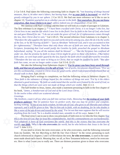Paul states 2 Cor 5:6-8. Paul states the following concerning faith in chapter 10, *15not boasting of things beyond measure, that is, in other men's labors, but having hope, that as your faith is increased, we shall be greatly enlarged by you in our sphere.* 2 Cor 10:15. We find one more reference we'd like to use in chapter 13, *<sup>5</sup> Examine yourselves as to whether you are in the faith. Test yourselves. Do you not know yourselves, that Jesus Christ is in you?--unless indeed you are disqualified.* 2 Cor 13:5.

who sup<br>who sup<br>by the h<br>less." <sup>7</sup>1<br>eseeing *the law, then Christ died in vain."* Gal 2:20-21. The second reference from Galatians is in chapter 3, greatly entarged by you in our sphere. 2 Cor 10.15<br>chapter 13, <sup>5</sup>Examine yourselves as to whether you a<br>**yourselves, that Jesus Christ is in you**?--unless ind<br>We continue with Paul's writings and this tim<br>The first refer The first reference is in chapter 2, *20"I have been crucified with Christ; it is no longer I who live, but*  $\frac{a}{b}$  reached the  $\frac{b}{c}$ <br>t the Scriptu<br>those who be<br>th would afte<br>be justified We continue with Paul's writings and this time we will look at a couple of passages in Galatians. *Christ lives in me; and the life which I now live in the flesh I live by faith in the Son of God, who loved me and gave Himself for me. 21I do not set aside the grace of God; for if righteousness comes through 5 Therefore He who supplies the Spirit to you and works miracles among you, does He do it by the works of the law, or by the hearing of faith?— 6 just as Abraham "believed God, and it was accounted to him for righteousness." 7 Therefore know that only those who are of faith are sons of Abraham. 8 And the Scripture, foreseeing that God would justify the Gentiles by faith, preached the gospel to Abraham beforehand, saying, "In you all the nations shall be blessed." ...; 22But the Scripture has confined all under sin, that the promise by faith in Jesus Christ might be given to those who believe. 23 But before faith came, we were kept under guard by the law, kept for the faith which would afterward be revealed. 24Therefore the law was our tutor to bring us to Christ, that we might be justified by faith. 25But after faith has come, we are no longer under a tutor.* Gal 3:5-8; 22-25.

is chapter 2, <sup>8</sup>For by grace you have been saved through<br>of God, <sup>9</sup>not of works, lest anyone should boast. <sup>10</sup>For we<br>for good works, which God prepared beforehand that we<br>on, we find the following verses in Hebrews cha We take the following from Ephesians chapter 2, *<sup>8</sup> For by grace you have been saved through faith, and that not of yourselves; it is the gift of God, <sup>9</sup> not of works, lest anyone should boast. 10For we are His workmanship, created in Christ Jesus for good works, which God prepared beforehand that we should walk in them.* Eph 2:8-10.

Bringing Paul's writings to completion, we find the following verses in Hebrews chapter 11, *1 Now faith is the substance of things hoped for, the evidence of things not seen. 2 For by it the elders obtained a good testimony. 3 By faith we understand that the worlds were framed by the word of God, so*

*that the things which are seen were not made of things which are visible.* Heb 11:1-3.<br>The half-brother to Jesus, James, also made a statement pertaining to faith in th<br>his book, <sup>1</sup>James, a bondservant of God and of the The half-brother to Jesus, James, also made a statement pertaining to faith in the first chapter of his book, *<sup>1</sup> James, a bondservant of God and of the Lord Jesus Christ,*

*To the twelve tribes which are scattered abroad:*

*Greetings.*

<sup>2</sup>*My brethren, count it all joy when you fall into various trials, 3knowing that the testing of your faith produces patience.* <sup>4</sup>*But let patience have its perfect work, that you may be perfect and complete, lacking n produces patience. 4 But let patience have its perfect work, that you may be perfect and complete, lacking nothing. 5 If any of you lacks wisdom, let him ask of God, who gives to all liberally and without reproach, and it will be given to him. 6 But let him ask in faith, with no doubting, for he who doubts is like a wave of the sea driven and tossed by the wind. 7 For let not that man suppose that he will receive anything from the Lord; 8 he is a double-minded man, unstable in all his ways.* James 1:1-8

The final verse I care to use to show you princ<br>this is the love of God, that we keep His commandme.<br><sup>4</sup>For whatever is born of God overcomes the world<br>world—**our faith**. <sup>5</sup>Who is **he who overcomes** the we<br>God? 1 John 5:3 The final verse I care to use to show you principals of faith rests in 1st John the first chapter,*<sup>3</sup> For this is the love of God, that we keep His commandments. And His commandments are not burdensome. 4 For whatever is born of God overcomes the world. And this is the victory that has overcome the world—our faith. 5 Who is he who overcomes the world, but he who believes that Jesus is the Son of God?* 1 John 5:3-5.

church referenced in chapters 2 and 3 of Revelation the term, **he who overcomes**, is used in the state-<br>ment made about each church. Meaning that, we all, as New Testament believers, need to be overcom-<br>ers. Here is what I If you need to review the term overcomer, or he who overcomes, read the following extracted from my booklet, '*We Are Marching to Hell By Our Own Choice!'* In the verses pertaining to each ment made about each church. Meaning that, we all, as New Testament believers, need to be overcomers. Here is what I want you to really see. There are thirteen promises given to those who overcome.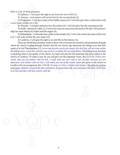those promissus - I will g Here is a list of those promises:

To Ephesus - I will give the right to eat from the tree of life (1).

To Smyrna - overcomers will not be hurt by the second death (2).

To Sinyina - overcomers win not be nuit by the<br>To Pergamum - I will give some of the hidden ma<br>a new name written on it (4).<br>To Thyatira - I will give authority over the nations<br>To Sardis - dressed in white (7). I will nev To Pergamum - I will give some of the hidden manna (3). I will also give him a white stone with a new name written on it (4).

To Thyatira - I will give authority over the nations (5). I will also give him the morning star (6).

 To Sardis - dressed in white (7). I will never erase his name from the book of life (8) I will acknowledge his name before my Father and His angels (9).

 (11). I will write on him My new name (12). To Philadelphia - I will make him a pillar in the temple (10). I will write on him the name of My God

To Laodicea - I will give the right to sit with Me on My throne (13).<br>These are the thirteen promises made to those who overcome the situation of the church is going through. Realize that the last church age represe f in Laodicea this encouragement. Rev 3:19-20: *As many as I love, I rebuke and chasten. <u>Therefore be zealous</u> and repent. Behold, I stand at the door and knock. If anyone hears My voice and opens the door, I will come in to h* spoke of in 2nd Thessalonians 2:3: *Let no one deceive you by any means; for that Day will not come unless* the falling away comes first, and the man of sin is revealed, the son of perdition. The falling away that Paul is These are the thirteen promises made to those who overcome the situation and temptations through which the church is going through. Realize that the last church age represents the falling away that Paul *the falling away comes first, and the man of sin is revealed, the son of perdition.* The falling away that Paul is speaking about is the apathy of the church. Go back and read the full statement that Jesus makes to the church at Laodicea. I'll make it easy for you and give you the important verses, Rev 3:15-16: *I know your works, that you are neither cold nor hot. I could wish you were cold or hot. So then, because you are lukewarm, and neither cold nor hot, I will vomit you out of My mouth.* Jesus also gives to the church at *and repent. Behold, I stand at the door and knock. If anyone hears My voice and opens the door, I will come in to him and dine with him, and he with Me.*

4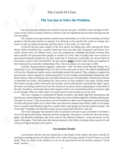## The Covid-19 Crisis

## **The Vaccine to Solve the Problem**

The Vaccine to Solve the Problem<br>Vaccines have been hailed as the miracle, from the new god - SCIENCE, that will help COVID-<br>weary society return to normal. However, honesty is the one ingredient that has been missing from Vaccines have been hailed as the miracle, from the new god - SCIENCE, that will help COVIDvaccine rollout.

> sponse o<br>erica ano<br>our rigl<br>-19 was<br>recoun The response of our government, and the associated media, to Covid-19 is revealing a lot about people in America and ourselves in general. It is showing us how quickly the world can change, how much we take our rights for granted, and how much, or how little, we value truth.

> n gave after<br>
> s, businesse<br>
> dings and fai<br>
> in reality, the<br>
> vould obey the<br>
> meniov fam Covid-19 was the major subject of the first speech Joe Biden gave after entering the White House. Biden recounted how countless Americans have lost their jobs, businesses and homes; how school closures have set children back a year; how graduations, weddings and family reunions have been canceled. He portrayed these people as victims of Covid, when in reality, they were victims of government-imposed lockdowns. He then stated that if Americans would obey the newest batch of restrictions, as part of the Great RESET, the government **might** let them enjoy family get togethers in their backyards by, ironically, Independence Day. That was almost two years ago in 2020.

the intent was taking control away from the citizens of our great country and putting it in the hands of the elite. Somehow, somewhere these elites forgot to look at our Constitution and the God given right to free thought their homes, giving up their businesses and incomes, and sacrificing their constitutional rights. Again, Day. That was almost two years ago in 2020.<br>
oppressive "cure" has been worse than the disease, be it<br>
fact. At the same time no one in the radical establishment<br>
lictably, praised the speech. They continue to support the<br> government's radical agenda by emphasizing their Covid coverage and prominently displaying their Actually, the government's gigantic, oppressive "cure" has been worse than the disease, be it intentional or not, this highlighted that very fact. At the same time no one in the radical establishment will *say* this. Mainstream media outlets, predictably, praised the speech. They continue to support the death trackers. They are helping scare and shame Americans into wearing masks. Then the government recomended two masks, and standing like chess pawns on floor markers 6 feet apart, staying inside the elite. Somehow, somewhere these elites forgot to look at our Constitution and the God given right to free thought. What we really need is to repent and ask God to forgive us of our sins!

and includin<br>science." The<br>go out of the<br>try where free<br>Christians where The scare campaign is coordinated by liberals in politics, big media, Big Tech, big business and beyond, up to and including the United Nations. Many of its most virulent supporters call their political party "the party of science." They accuse those who do not believe in their cause of ignorance, hatred and lying. Yet, they will go out of their way to shove their ways down the common man's throat. Sadly, we no longer live in a country where freedom rings but a country where some people are the elite and the everyday "salt of the earth" Christians who built this country are now persecuted and told to "shut up!"

mix of reel-good advertising, shaming and rear-mon<br>ganda and deceitful techniques that were used for t<br>name of the game. They have taken the idea proclain<br>what in evil good and put it into practice.<br>Vaccinati The scare campaign transitioned in 2021 to pressure everyone to get vaccinated. It included a mix of feel-good advertising, shaming and fear-mongering. This phase is marked by the same propaganda and deceitful techniques that were used for the national lockdown. Lying and deceit are the name of the game. They have taken the idea proclaimed in the Bible of making what is good evil and what in evil good and put it into practice.

#### **Vaccination Deaths**

ment of<br>ting an<br>re some<br>.. Government officials took the normal day to day deaths of the elderly and those critically ill and began counting anyone who died within a few weeks of having a positive Covid-19 test as a Covid death. These are some of the numbers we see on the government and the media's ominous "Covid death" trackers.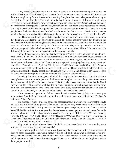there are compineding ractors. It seems the prevailing the risk of death in the first place. The implication is that every day in the United States. They say that many who died from other causes (some as obvious as gunshot The simple reason, this does not support their plans for the controlling of society. The truth is some eryday peop<br>tes of Health Many everyday people believe that dying *with* covid is far different from dying *from* covid! The National Institutes of Health (NIH) and Centers for Disease Control and Prevention (CDC) indicate there are complicating factors. It seems the prevailing thought is that many who get tested are at higher risk of death in the first place. The implication is that there are thousands of deaths from all causes every day in the United States. They say that many who die after a positive Covid test result actually died from other causes (some as obvious as gunshot wounds). But liberal elites reject these objections. people have died after their bodies absorbed not the virus, but the *vaccine.* Therefore, the question remains: is anyone who died 28 to 60 days after having the Covid vaccine a "Covid vaccine death"?

build is the boxed is the second frequency of the set of the set of the set of the set of the set of the set of the set of the set of the set of the set of the set of the set of the set of the set of the set of the set of No! These *same* officials, journalists, experts, commentators and other elites want you to think that dying *with* Covid is the same as dying *from* Covid. The eliteist adamantly insist that dying *with* the vaccine is far different from dying *from* the vaccine. They desire for you to believe that many who die after a Covid-19 vaccine shot actually died from other causes. They directly contradict themselves dishonesty in pursuit of a radical agenda that affects you personally.

side effects. Data released on April 16, 2021 by the U.S. (CDC) states that 86,080 people in America<br>reported serious health problems after taking a Covid-19 vaccine. These include birth defects (71 cases),<br>permanent disab and pressure you to believe both contradictions! This is not an accident. This is dishonesty! And it's dishonesty in pursuit of a radical agenda that affects you personally.<br>Covid-19 vaccines were developed and distributed Covid-19 vaccines were developed and distributed at "warp speed" and began being administered in the U.S. on Dec. 14, 2020. Today, more than 522 million shots have been given to more than 215 million Americans. The Biden-Harris administration continues to urge the remaining unvaccinated Americans to follow suit. Since 2020 there are disturbing details emerging about the various vaccines' reported serious health problems after taking a Covid-19 vaccine. These include birth defects (71 cases), permanent disabilities (1,217 cases), hospitalizations (6,271 cases), and deaths (3,186 cases). There are somewhat similar reports of adverse reactions and deaths in other countries.

vaccine could be 10 times more fatal than the flu shot. That is still a small percentage, but the same<br>politicians and commentators who wring their hands over every death they can tenuously tie back to<br>Covid-19 are suspici One study from the same agency admitted that people who received the vaccines experience anaphylaxis at a rate 10 times higher than the flu vaccine. Anaphylaxis is an allergic reaction so severe that it causes death in 0.7 to 2 percent of cases. This study gives us an early indication that the Covid politicians and commentators who wring their hands over every death they can tenuously tie back to Covid-19 are suspiciously silent about any drawbacks connected to the vaccines.

The anti-vaccine organization Children's Health Defense asked the CDC how it was investigating reports of Covid-19 vaccine deaths, but their questions went unanswered. Remember Dr. Fauci's

Didn't Kill Woman, 78, Who Died Shortly After Having<br>Japan Days After Vaccine, but Link Uncertain;" and "M<br>Vaccine—but Doctors Say Shots Are Safe"?<br>Why rush to emphasize "no evidence Covid-19 v<br>truth, or because they're ad registement, "Shots Are Safe."<br>statement, "Shots Are Safe."<br>The number of report<br>will be in the mid-range or le<br>liberal, mainstream news out<br>has still killed fewer America The number of reported vaccine connected deaths is small, but we have no idea what the effects will be in the mid-range or long term. When much is unknown, why are so many so biased? Why do liberal, mainstream news outlets give wall-to-wall coverage of everything to do with the virus, which has still killed fewer Americans per year than heart disease or cancer, yet present much more favorable headlines about the possible dangers of the vaccine. For example: "Pfizer Covid Vaccine Probably Didn't Kill Woman, 78, Who Died Shortly After Having It;" "Woman Dies from Brain Hemorrhage in Japan Days After Vaccine, but Link Uncertain;" and "Macomb County Man, 90, Dies After Covid-19 Vaccine—but Doctors Say Shots Are Safe"?

Why rush to emphasize "no evidence Covid-19 vaccines cause death"? Is it because they want truth, or because they're advancing an agenda?

dence." Why was there so much questioning in New York state over the cause and effect of the vaccine<br>and the governor's push to have those testing positive to be placed back in the nursing homes where<br>these people resided? Thousands of real-life Americans whose loved ones have died soon after getting vaccinated from no other discernible cause would probably like to talk to the elites who insist there is "no eviand the governor's push to have those testing positive to be placed back in the nursing homes where these people resided?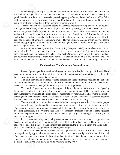er examples<br>hin days of b Other examples we might use could be the family of Kassidi Kurill. She was 39 years old, and she died within days of her second dose of the Moderna vaccine. Her father said she was "healthy and good, then she took the shot," but soon began feeling poorly. After two days in bed, she asked her father to drive her to the emergency room. Doctors told him that her liver was not functioning. Before they could do anything further, her kidneys and heart stopped working.

end that the cause of her death is unknown. Daniel Thayne Simpson, 90, died within a day of getting<br>
innoculated, prompting public health officials to once again repeat, "There is nothing to worry about<br>
with taking the Co anchor Karen Hudson-Samuels, 68, died one day after taking the vaccine, though public health offigood, then she took the shot, but soon began reemig<br>to drive her to the emergency room. Doctors told hi<br>could do anything further, her kidneys and heart sto<br>There have been other scattered reports of y<br>carriages and stillb carriages and stillbirths, in the United States, Canada, Norway, Portugal, Italy, Switzerland and else-There have been other scattered reports of vaccines apparently killing people, including miswhere. Gregory Michaels, 56, died of a hemorrhagic stroke two weeks after he received a shot, and his widow affirms that he died "due to a strong reaction to the Covid vaccine." Former Detroit news innoculated, prompting public health officials to once again repeat, "There is nothing to worry about with taking the Covid-19 vaccines."

One man interviewed by American Broadcasting Company (ABC) News talked about "spuri-<br>tionships" and says that sickness and death occurring "in proximity" to something does not<br>nat particular thing caused the sickness and d ous relationships" and says that sickness and death occurring "in proximity" to something does not prove that particular thing caused the sickness and death. Of course, he is correct that something happening before another thing is often not its cause. My question would have to be, why isn't the same logic applied to Covid death counts, which are engineered to be as high and as terrifying as possible?

#### **Vaccination - The Common Denominator**

The Common Denominator<br>tho seem to have no side effects or signs of illness. These<br>of people from contracting coronavirus, and could facili-<br>in dangers associated with these vaccines. The concerns vaccines are apparently preventing millions of people from contracting coronavirus, and could facili-Plenty of people get these vaccines who seem to have no side effects or signs of illness. These tate a return to pre-covid normality for many.

 are significant enough that more than 20 countries have revoked their authorizations for the distribu-That said, there is *also* evidence of some dangers associated with these vaccines. The concerns tion of certain Covid vaccines (while permitting and promoting others).

Exercise Superior State<br>
Superior Separate Separate Separate Superior Separate Superior Separate Superior Separate Superior Separate S<br>
Superior Separate Superior Separate Superior Separate Superior Separate Superior Separ Yet America's government, with the support of the media and many businesses, are ignoring this evidence and proceeding with efforts to make vaccinations universal. On one hand, they have proven themselves willing to take every possible measure to prevent Covid deaths, even to the point of shutting down the national economy. But, on the other hand, anyone who expresses concerns about the safety of the vaccines is ridiculed for their ignorance. The contrast is alarming.

m the national<br>vaccines is in<br>most obvious<br>individual free<br>is increasin<br>mpulsory if The most obvious common denominator in both of these positions is that they involve people sacrificing individual freedom and the government gaining more control over the lives of the people. The pressure is increasing to ignore the risks and get the shot! For a growing number of people it is becoming compulsory if they want to keep their job. American's freedom of choice is being squeezed out. Once the government gains that much power over people's rights, including their health, you can be sure it won't give it up!

be sure it won't give it up!<br>Experts, continue to say that proving a vaccin<br>because a vaccine almost never *causes* death, or co<br>interests at stake, this includes rich pharmaceutical co<br>an already excessively large governm interests at stake, this includes rich pharmaceutical companies, the medical industry and the agenda of Experts, continue to say that proving a vaccine as a cause of death almost never happens. Is that because a vaccine almost never *causes* death, or could there be other reasons? There are powerful an already excessively large government getting even bigger.

This is not the government doing its best with a bad situation. This is the government taking a fairly standard flu epidemic and manipulating it to expand its power and prepare for even greater manipulation and control. Ev developed, rapidly approved, emergency-authorized vaccines that are still partially under clinical trial. America has even deployed National Guard troops to inject millions of Americans with rapidly standard flu epidemic and manipulating it to expand its power and prepare for even greater manipulation and control. *Even when doing so could be killing some people.*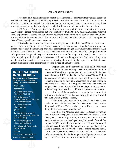#### **An Ungodly Mixture**

How can public health officials be so sure these v<br>research and development before medical professionals<br>Pfizer and Moderna developed Covid-19 vaccines in a<br>tested by comparison to the normal process, which still<br>In 1976, How can public health officials be so sure these vaccines are safe? It normally takes a decade of research and development before medical professionals declare a vaccine "safe" for human use. Both Pfizer and Moderna developed Covid-19 vaccines in a single year. These vaccines have barely been tested by comparison to the normal process, which still doesn't yield side-effect-free vaccines.

 Barré syndrome. The connection of this syndrome to the vaccine is debated, but it still highlights the In 1976, when Army recruits at Fort Dix, in New Jersey, fell ill from a virulent form of swine flu, President Richard Nixon rushed out a vaccination program. About 45 million Americans received a new, experimental vaccine, and 450 of them developed a rare neurological condition called Guillainrisks of "warp speed" vaccine development.

ed" vace<br>ed" vace<br>type c<br>t manu be painogens<br>Covid vaccin<br>cleic acid to<br>conavirus pro<br>mce. So inste<br>engineered a This risk becomes even more concerning when you realize that Pfizer and Moderna have developed a brand-new type of vaccine. Normal vaccines use dead or inactive pathogens to prompt the human body to start manufacturing antibodies against that pathogen. The Covid vaccine is different. It is the first-ever MRNA vaccine. It uses a specialized sequence of ribonucleic acid to hijack a human cell's protein-making machinery and instruct it to start manufacturing coronavirus proteins—specifically the spike protein that gives the coronavirus its crown-like appearance. So instead of injecting people with dead covid-19 cells, doctors are injecting them with highly engineered acids that cause human cells manufacture coronavirus proteins instead of human proteins.

## IN THE VACCINE. YOUR BODY

Substances used in the development and actual content of the main emergency-authorized vaccines.

- Altered mRNA
- Adenovirus 26
- ((4-hydroxybutyl)azanediyl) bis(hexane-6,1-diyl)bis
- (2-hexyldecanoate), 2<br>
[(polyethylene glycol)-2000]-N,N-<br>
ditetradecylacetamide<br>
 1,2-Distearoyl-snglycero-3-<br>
phosphocholine<br>
 SM-102<br>
 1,2-dimyristoyl-rac-glycero3-
- 
- $-SM-102$
- 
- 
- 
- 
- Source: Hackensack Meridian Health • Cell lines from an aborted baby

cines, if<br>cines, if<br>to autoin<br>what the<br>ould the take more risks" (Nov. 17, 2020). He then noted that there are bite claims to the contrary, scientists still have no real<br>e unintended consequences of injecting people with<br>be. This is a game-changing and potentially danger-<br>ogy. Tal Brosh, head of the Infectious Disease Unit at<br>uta A Despite claims to the contrary, scientists still have no real idea what the unintended consequences of injecting people with MRNA will be. This is a game-changing and potentially dangerous technology. Tal Brosh, head of the Infectious Disease Unit at Samson Assuta Ashdod Hospital in Israel, told the *Jerusalem Post,* "There is a race to get the public vaccinated, so we are willing to unique and unknown risks to MRNA vaccines, including systemic inflammatory responses that could lead to autoimmune diseases.

Ultimately it is too early to tell what the long-term effect of this new technology will be. You would think people would take such warnings more seriously.

"This is not your normal flu vaccine," noted Dr. Carrie Madej, an internal medicine specialist in Georgia. "This is something totally different. This is a witches' brew. I've never seen anything like this in science or medicine."

me thoxypolyethylene glycol-2000 contain polyethylene<br>
[PEG2000-DMG] rashes, nausea, vom<br>
• 1,2-distearoyl-snglycero-3-<br>
phosphocholine [DSPC] aborted in 1973 and<br>
• Tromethamine & Tromethamine<br>
hydrochloride Madej's compa a chimpanzee. If you added the eye of a newt and toe of a frog, Dr. The Pfizer and Moderna versions of the Covid-19 vaccine contain polyethylene glycol—a petrochemical known to cause skin rashes, nausea, vomiting, difficulty breathing and shock. And the AstraZeneca version was developed using kidney cells from a baby aborted in 1973 and a cold-causing virus isolated from the stool of Madej's comparison to a "witches' brew" might become literal. Millions are injecting themselves with this cocktail of chemicals and experimental molecules hoping that it will protect them. Even so, in some few cases, this brew ultimately kills them!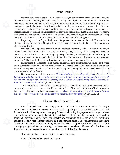#### **Divine Healing**

 and has everything to do with pharmaceutical stockholders and political agendas. Now is a good time to begin thinking about v<br>all put our trust in something. Most of us place it part<br>even when that establishment is inherently limited<br>even when what it discovers is then discovered to b<br>that advancements that advancements in science are constantly outpaced by advancements in disease. The modern day Now is a good time to begin thinking about where you put your trust for health and healing. We all put our trust in something. Most of us place it partialy or wholly in the realm of medicine. We do this even when that establishment is inherently limited to what human beings can scientifically discover, even when what it discovers is then discovered to be inadequate just months or weeks later. It seems medical method of "healing" is not to return the body to its natural state but to make it even less natural with chemicals and scalpels. The medical industry of today has nothing to do with science or healing

thing to<br>ling you<br>pgical la<br>health.<br>al scien Regarding your *health,* your body, your life, you need to understand the truth. The truth is that physical, biological laws exist. Obeying them *causes* an *effect* of good health. Breaking them *causes* an *effect* of poor health.

g, with the u<br>ct, we can tra<br>The sufferer l<br>son plus one<br>listorted theo Medical science operates primarily on this method: attempting, with the use of medicines, to prevent God's law from exacting its penalty. That theory says, in effect, we can transgress God's law and then prevent God's law from exacting its penalty. The theory is: The sufferer has in his body one poison, so we add another poison in the form of medicine. And one poison plus one more poison equals no poison!" The Covid-19 vaccine rollout is a full expression of this distorted theory.

eator who created them. God's arithmetic is one poison<br>yes, it requires obeying the laws of the Creator and even<br>"If thou wilt diligently hearken to the voice of the Lord thy<br>ght, and wilt give ear to his commandments, and It is amazing the lengths to which human beings will go to cure themselves, so long as they can avoid submitting to the laws of the very *Creator* who created them. God's arithmetic is one poison *minus* that one poison equals no poison. And yes, it requires obeying the laws of the Creator and even the intervention of the Creator.

 God has power to heal. He promises, *"If thou wilt diligently hearken to the voice of the Lord thy God, and wilt do that which is right in his sight, and wilt give ear to his commandments, and keep all his statutes, I will put none of these diseases upon thee, which I have brought upon the Egyptians: for I am the Lord that healeth thee"* (Exodus 15:26).

true Chi<br>the resu<br>vy soul,<br>" (Psalr This does not mean true Christians never get sick. It means that a true Christian need not panic, nor get injected with a vaccine, and suffer the side effects. Sickness is the result of broken physical laws, and God promises to *heal* upon repentance: *"Bless the Lord, O my soul, and forget not all his benefits: Who forgiveth all thine iniquities; who healeth all thy diseases*" (Psalm 103:2-3).

### **Divine Healing and Faith**

my family would be there at the hospital the next da<br>folks and I didn't need any of them, nor expected ar<br>explain that I only needed three people to be in the c<br>the doctor who would perform the surgery and my Go<br>the surger the surgery. Anyone else in the operating room were meer extras who would assist. After this discussion e believed f<br>lso in myself I have believed for well over fifty years that God could heal. I've witnessed His healing in others and also in myself. I had open heart surgery for a quadruple by-pass in 1998 and was released from the hospital three days after my surgery. When asked, during the preperation for surgery, who of my family would be there at the hospital the next day? I told the nurse that my family were working folks and I didn't need any of them, nor expected any of them, to be there the next day. I went on to explain that I only needed three people to be in the operating room. They being myself as the patient, the doctor who would perform the surgery and my God who would guide the doctor's hands to perform I had a male nurse to come into my room and we had the following discussion:

"I understand that you are a religious person?" He asked.

d like to "Yes, I'd like to believe that I am." I said.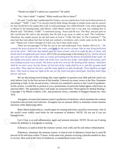you mind if "Would you mind if I asked you a question?" He asked.

"No, I don't mind." I replied. "What would you like to know?"

Exercise<br>I never<br>two pas<br>to grow Therefore, the simple answer for the full name of God is 'I AM, The Way, To The Comforter!'" The He said, "I really don't understand the Trinity, ca<br>one being?" "Well!" I said, "I've always tried to think t<br>for that would be in the names that God, in each person<br>to Moses in the burning bush, told Moses, when Mose<br>Phar to Moses in the burning bush, told Moses, when Moses asked who it was that was sending him to He said, "I really don't understand the Trinity, can you explain how God can be three persons in one being?" "Well!" I said, "I've always tried to think things through in simple terms and my answer for that would be in the names that God, in each personage, has called Himself. God, when appearing Pharoh said: "Tell them, 'I AM!'" I continued saying, "Jesus said He was 'The Way' and just prior to His crucifiction He said to the disciples that He had to go away in order to send 'The Comforter.' man had that look about him that he had just realized a revelation, and a smile came on his face. He said, "Thank you! I never thought of it that way, but it does make sense."

nd of the Lamb shall be in it, and His servants shall<br>
e shall be on their foreheads. <sup>5</sup>There shall be no night<br>
r the Lord God gives them light. And they shall reign<br>
ne together to question your faith and how much you<br> *causeth the grass to grow for the cattle, and herb for the service of man: that he may bring forth food out of the earth; <sup>15</sup>And wine that maketh glad the heart of man, and oil to make his face to shine, and bread whic* There are two passages I'd like for you to see and understand. First, Psalms 104:14-15, *14He out of the earth; 15And wine that maketh glad the heart of man, and oil to make his face to shine, and bread which strengtheneth man's heart.* (KJV) The second passage is Revelation 22:1-5, *<sup>1</sup> And he showed me a pure river of water of life, clear as crystal, proceeding from the throne of God and of the Lamb. 2 In the middle of its street, and on either side of the river, was the tree of life, which bore twelve fruits, each tree yielding its fruit every month. The leaves of the tree were for the healing of the nations. 3 And there shall be no more curse, but the throne of God and of the Lamb shall be in it, and His servants shall serve Him. 4 They shall see His face, and His name shall be on their foreheads. 5 There shall be no night there: They need no lamp nor light of the sun, for the Lord God gives them light. And they shall reign forever and ever.*

bal age<br>tion for<br>Penguin pertaining to faith. In the second section, I showed you mankind's answer to the Covid-19 pandemic. We are discussing several things that come together to question your faith and how much you truly believe God. In the first section of this booklet, I showed you many verses in the New Testament In this section, I would like to present to you a presentation of particular herbal agents which have an antiviral effect. The statements that I will make are extracted from "Prescription for Herbal Healing," Copyright © by Phyllis A Balch, CNC, and printed by Avery, a member of Penguin Putnam Inc, New York.

us, increases t<br>prevent viral<br>depressing o<br>elon (momor Astragalus, increases the immune system's production of interferon, which stimulates the creation of proteins that prevent viral infection. Astragalus has an unusual ability to stimulate certain immune functions while depressing others.

Bitter Melon (momordica), a useful agent for treating infections caused by retroviruses. One of the world's most widely used herbs for the treatment of diabetes. NOTE: Do not use if you are hypoglycemic.

hypoglycemic.<br>Cat's Claw, is an anti-inflammatory agent and in<br>insulin for diabetes or if pregnant or nursing.<br>Echinacea, is used to boost the immune system, Cat's Claw, is an anti-inflammatory agent and immune stimulant. NOTE: Do not use if taking insulin for diabetes or if pregnant or nursing.

Echinacea, is used to boost the immune system, treat colds and flu and reduce inflammation.

tions with<br>ed in the percent of flu infections within 72 hours. In the same trial, patients receiving a placebo needed six days Elderberry, stimulates the immune system. A clinical trial of elderberry found that it cured 90 to recover. Best used in the form of Sambucol, or standardized extract form.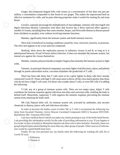ger, the componentation Ginger, the compound shagaol kills cold viruses at a concentration of less than one part per million, a concentation comparable to that found in raw ginger. This makes the unprocessed herb an effective treatment for colds, and its pain-relieving properties make it useful for treating flu and strep throat.

Enective treatment for colds, and its pam-reneving<br>throat.<br>Licorice, saponins encourage the multiplicat<br>digest infectious bacteria. Laboratory tests show the<br>number of viruses, including those that cause measle<br>from chichk Licorice, saponins encourage the multiplication of macrophages, immune cells that engulf and digest infectious bacteria. Laboratory tests show that licorice has a direct antiviral effect against a number of viruses, including those that cause measles, herpes, and Newcastle disease (a disease passed from chichkens to people), even without involving immune functions.

Maitake, significantly boost the immune system and build immune reserves.

e, signi<br>eaf, is b<br>appears<br>an shut Olive leaf, is beneficial in treating conditions caused by virus, retrovirus, bacteria, or protozoa. The olive leaf appears to be a true antiviral compound.

ruses A and<br>mulate the in<br>alate the imm Skullcap, shuts down the replication process in influenza viruses A and B, as long as it is administered between 18 and 54 hours before infection. It does not stimulate the immune system, but instead acts against the viruses themselves.

Shiitake, contains polysaccharides (complex Sugars) that stimulate the immune system to fight colds.

Turmeric, its principal chemical component, curcumin, fights viral infections, cancer, and arthritis through its potent antioxidant action, curcumin stimulates the production of T cells.

Solution Concept and Solution Sphere and Solution Sphere and Solution<br>
Sphere and Solution of Teells.<br>
Is seem to be a great fighter in those who have already<br>
Solution seem to throw off the virus much quicker than those There has been talk lately that T cells seem to be a great fighter in those who have already contracted Covid-19. Those with high T cell count seem to throw off the virus much quicker than those who do not have a high T cell count. For those who wonder about T cells, or even NK Cells I'm adding the following:

p<br>major<br>pus cells<br>pnse, pr T Cell, any of a group of immune system cells. There are two major types, helper T cells coordinate the immune response against infectious microbes and cancerous cells, enabling the body to defend itself. Meanwhile, suppresser T cells suppress the immune response, preventing the immune

system from attacking the body itself.<br>NK Cell, Natural killer cell.<br>chemicals to destroy cancer cells and<br>In order to increase the bodies NK Cell, Natural killer cell. An immune system cell, activated by antibodies, that secretes chemicals to destroy cancer cells and infectious microbes.

In order to increase the bodies count of either NK or T cells I recommend the following two items from Swanson Vitamins: Active Hexose Correlated Compound (AHCC) Swanson SWU1045. BioDefense NK+ Swanson SWU1043.

BioDefense NK+ Swanson SWU1043.<br>I am not a medical doctor and do not make an<br>I am providing this information strictly for the sake of<br>live in the vicinity of Amish or Mennonite families as<br>groups depend upon natural healin groups depend upon natural healing far more than any other group of people. Other sources of informa-I am not a medical doctor and do not make any claims pertaing to any of the herbs listed herein. I am providing this information strictly for the sake of providing information to you. If you happen to live in the vicinity of Amish or Mennonite families ask them who is their herbalist. Normally, these two tion would be a good health food store.

 Covid-19 virus: Finally, for my own personal use, my family takes the following for warding off cold, flu or

:<br>1 Echin<br>2 Vitan 1 Echinacea 2 Vitamin A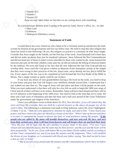S vitalinin DS<br>these are only taken when we feel that w<br>As a precautionary defense prior to going to the<br>1 Olive Leaf<br>1 Echinacea l<br>Vitamin B1<br>I Vitamin C 1 Vitamin B12 1 Vitamin C 3 Vitamin D3 these are only taken when we feel that we are coming down with something.

As a precautionary defense prior to going to the grocery, bank, doctor's office, etc., we take

1 Olive Leaf

1 Echinacea

1 Tablespoon Elderberry extract.

#### **Statement of Faith**

Statement of Faith<br>I would like to see every American who claims to be a Christian stand up and declare the truth,<br>scream for honesty in our government and love our fellow man. We need to stop this false religion that by the millions. He even told Satan to his face that He only followed the One True God and did not<br>worship idols. Jesus used His God given wisdom to illustrate to the humanistic priests at the temple<br>that they were wrong i and up and do<br>to stop this fa<br>ockery of wh<br>us honored C<br>red the Ten C<br>ted to sin. Je: I would like to see every American who claims to be a Christian stand up and declare the truth, Satan has lured us into following. Oh yes, this religion we practice is a mockery of what Jesus taught. Consider that Jesus taught on the Sabath, not the first day of the week. Jesus honored God's feast days and did not make up phony days just for mankind's pleasure. Jesus followed the Ten Commandments and did not bend any of those to make it more tolerable for those who wanted to sin. Jesus honored the innocent and said, let the little children come unto me, he did not tolerate the killing of innocent babies worship idols. Jesus used His God given wisdom to illustrate to the humanistic priests at the temple that they were wrong in their practices of the law. Jesus came, not to destroy the law, but to fulfill the law. Every aspect of the law was to be completed as God dictated the first five books of the Bible to Moses. Not a single comma or quote could be out of place.

ill be pe<br>gin the 2<br>en bound<br>wars that to your knees and pray that God will forgive your rebellious attitude toward Him. I understand that I If you have any desire of your grandchildren having a life lived on the earth, you need to drop just walked out onto thin ice. The reign of Jesus will take place and there will be people on the earth. What you must understand is that there will only be a few left on earth to begin the 1000 year reign of Christ and all of them will have to be sinless. Remember, Satan will have been bound and there will be no evil influence at the beginning of the 1000 years. You need to look at the wars that are to come, the three and a half years of tribulation and then the three and a half year period of the Great Tribulation under the government and religion of the Antichrist.

kingdon<br><sup>'</sup>srael.'<br>u turn a *all that I have commanded you, and if you keep My statutes and My judgments, 18then I will establish* is no rain, or command the locusts to devour the land, or command the locusts to devour the land, or **every**  $\frac{1}{2}$  **heaple who are called by My name will humble thems**  $\frac{1}{2}$  **from their wicked ways, then I will he**  *15Now My eyes will be open and My ears attentive to prayer made in this place. 16For now I have* years of trip<br>nment and re<br>bu with these<br>My *covenant*<br>ne following<br>, <sup>12</sup>Then the I leave you with these verses to think about: Ex 19:5, *Now therefore, if you will indeed obey My voice and keep My covenant, then you shall be a special treasure to Me above all people; for all the earth is Mine.* The following is a statement God made to King Solomon, notice the verse I highlighted. 2 Chron 7:12-22, *12Then the Lord appeared to Solomon by night, and said to him: "I have heard your prayer, and have chosen this place for Myself as a house of sacrifice. 13When I shut up heaven and there is no rain, or command the locusts to devour the land, or send pestilence among My people, 14if My people who are called by My name will humble themselves, and pray and seek My face, and turn from their wicked ways, then I will hear from heaven, and will forgive their sin and heal their land. chosen and sanctified this house, that My name may be there forever; and My eyes and My heart will be there perpetually. 17As for you, if you walk before Me as your father David walked, and do according to the throne of your kingdom, as I covenanted with David your father, saying, 'You shall not fail to have a man as ruler in Israel.'*

*19"But if you turn away and forsake My statutes and My commandments which I have set before*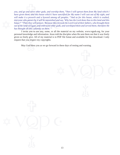VALU HIGHER THE UP IDVEND and a Dyword among all peoples. And as for this house, which is examed,<br>everyone who passes by it will be astonished and say, 'Why has the Lord done thus to this land and this<br>house?'<sup>22</sup>Then they and serve of<br>and serve of<br>them: and the *you, and go and serve other gods, and worship them, 20then I will uproot them from My land which I have given them; and this house which I have sanctified for My name I will cast out of My sight, and will make it a proverb and a byword among all peoples. 21And as for this house, which is exalted, everyone who passes by it will be astonished and say, 'Why has the Lord done thus to this land and this house?' 22Then they will answer, 'Because they forsook the Lord God of their fathers, who brought them out of the land of Egypt, and embraced other gods, and worshiped them and served them; therefore He has brought all this calamity on them.' "*

request that you respect my copyrights.<br>
May God bless you as we go for given so freely give. All of my material is in PDF file fomat and available for free download. I only personal knowledge and information. Jesus told the disciples when He sent them out that it was freely

 $\frac{1}{2}$ May God bless you as we go forward in these days of testing and warning.

13